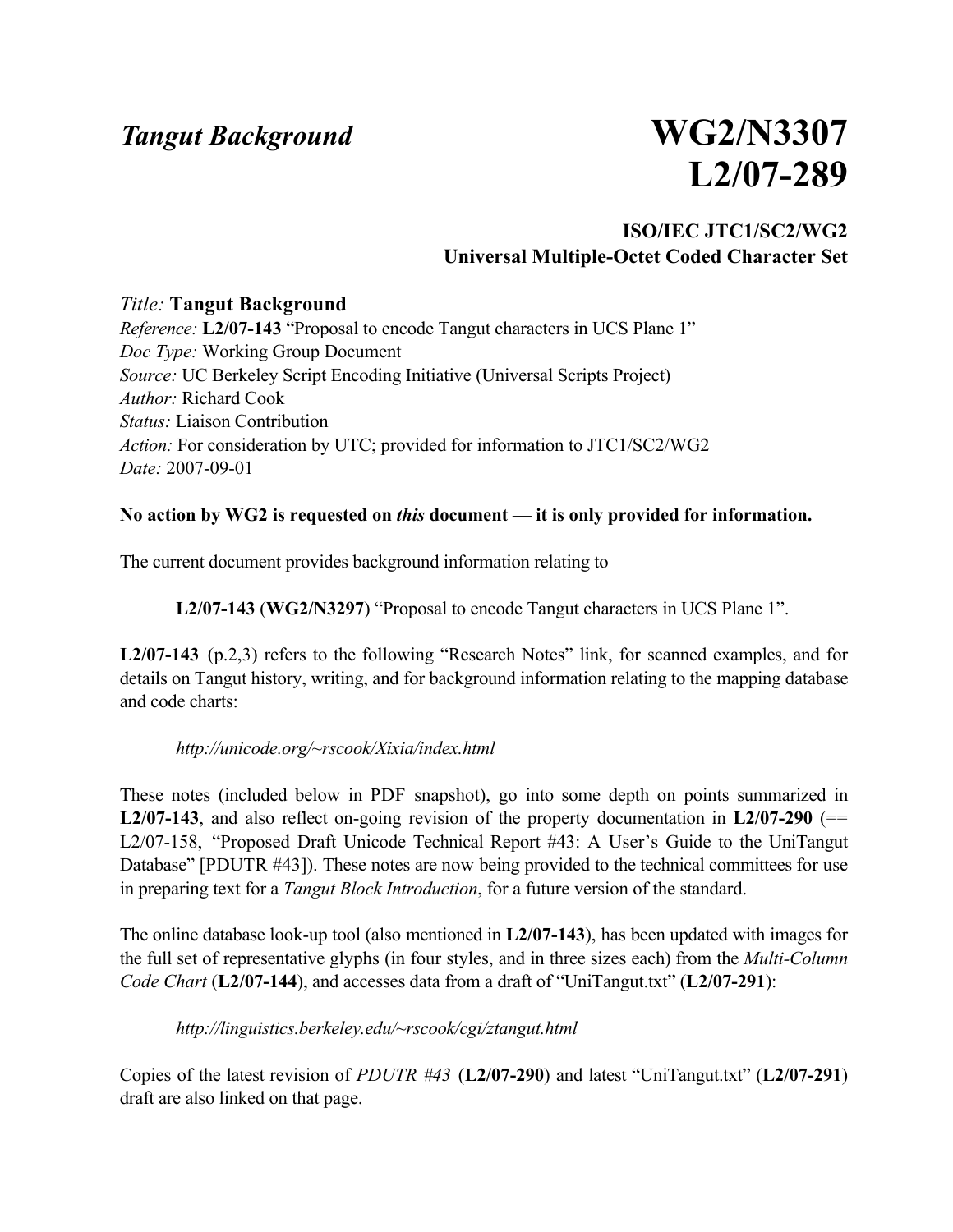## *Tangut Background* **WG2/N3307**

# **L2/07-289**

#### **ISO/IEC JTC1/SC2/WG2 Universal Multiple-Octet Coded Character Set**

#### *Title:* **Tangut Background**

*Reference:* **L2/07-143** "Proposal to encode Tangut characters in UCS Plane 1" *Doc Type:* Working Group Document *Source:* UC Berkeley Script Encoding Initiative (Universal Scripts Project) *Author:* Richard Cook *Status:* Liaison Contribution *Action:* For consideration by UTC; provided for information to JTC1/SC2/WG2 *Date:* 2007-09-01

#### **No action by WG2 is requested on** *this* **document — it is only provided for information.**

The current document provides background information relating to

**L2/07-143** (**WG2/N3297**) "Proposal to encode Tangut characters in UCS Plane 1".

**L2/07-143** (p.2,3) refers to the following "Research Notes" link, for scanned examples, and for details on Tangut history, writing, and for background information relating to the mapping database and code charts:

#### *http://unicode.org/~rscook/Xixia/index.html*

These notes (included below in PDF snapshot), go into some depth on points summarized in **L2/07-143**, and also reflect on-going revision of the property documentation in **L2/07-290** (== L2/07-158, "Proposed Draft Unicode Technical Report #43: A User's Guide to the UniTangut Database" [PDUTR #43]). These notes are now being provided to the technical committees for use in preparing text for a *Tangut Block Introduction*, for a future version of the standard.

The online database look-up tool (also mentioned in **L2/07-143**), has been updated with images for the full set of representative glyphs (in four styles, and in three sizes each) from the *Multi-Column Code Chart* (**L2/07-144**), and accesses data from a draft of "UniTangut.txt" (**L2/07-291**):

#### *http://linguistics.berkeley.edu/~rscook/cgi/ztangut.html*

Copies of the latest revision of *PDUTR #43* (**L2/07-290**) and latest "UniTangut.txt" (**L2/07-291**) draft are also linked on that page.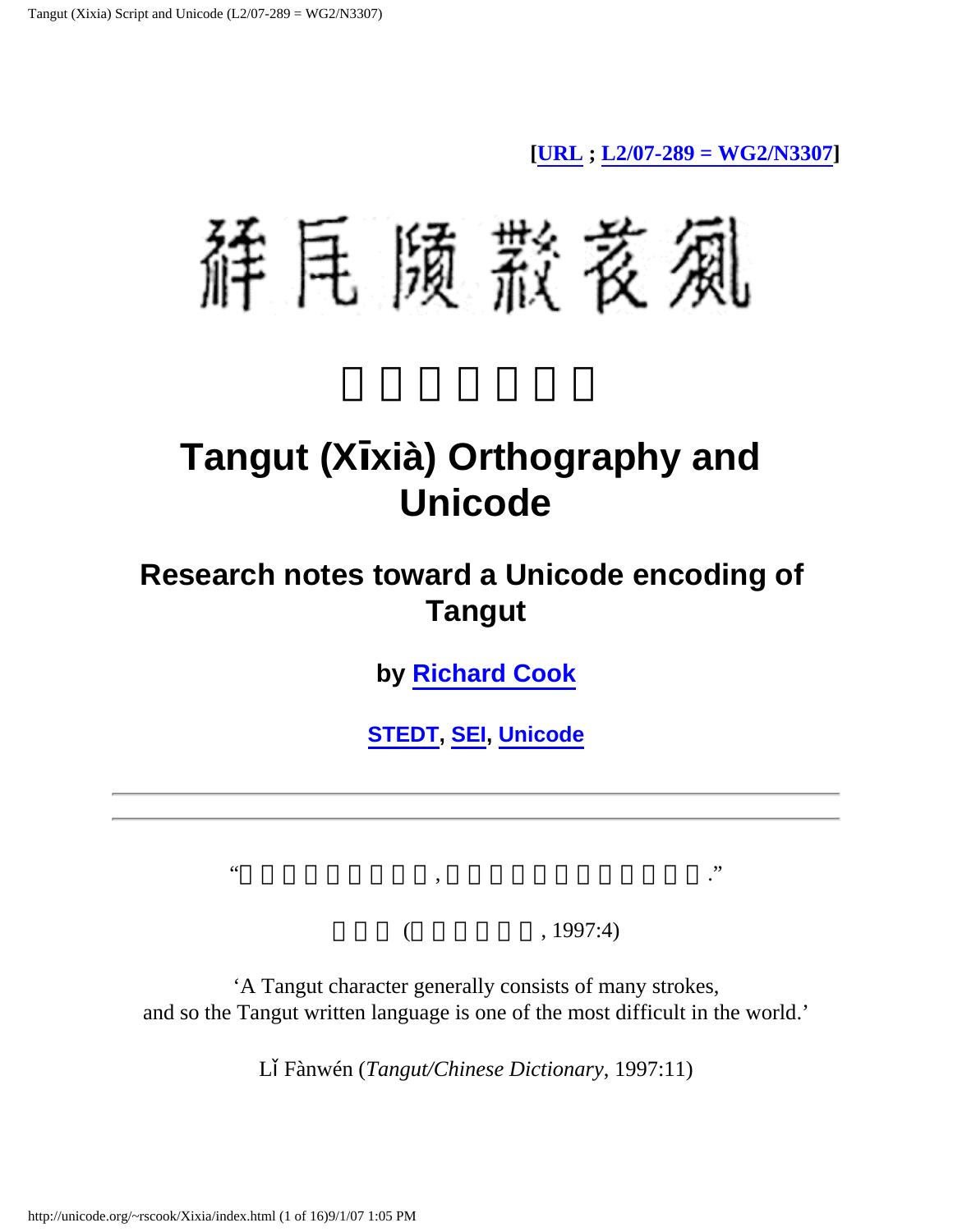**[\[URL](http://unicode.org/~rscook/Xixia/) ; [L2/07-289 = WG2/N3307](http://linguistics.berkeley.edu/~rscook/UTC/Tangut/)]**

辞尾 陨 款 袤 風

## **Tangut (X xià) Orthography and Unicode**

## **Research notes toward a Unicode encoding of Tangut**

**by [Richard Cook](http://socrates.berkeley.edu/~rscook/html/writing.html)**

**[STEDT](http://stedt.berkeley.edu/), [SEI,](http://www.linguistics.berkeley.edu/sei/) [Unicode](http://unicode.org/)**

 $($ , 1997:4)

'A Tangut character generally consists of many strokes, and so the Tangut written language is one of the most difficult in the world.'

"由於西夏字筆畫繁多, 是世界上最難識的文字之一."

L Fànwén (*Tangut/Chinese Dictionary*, 1997:11)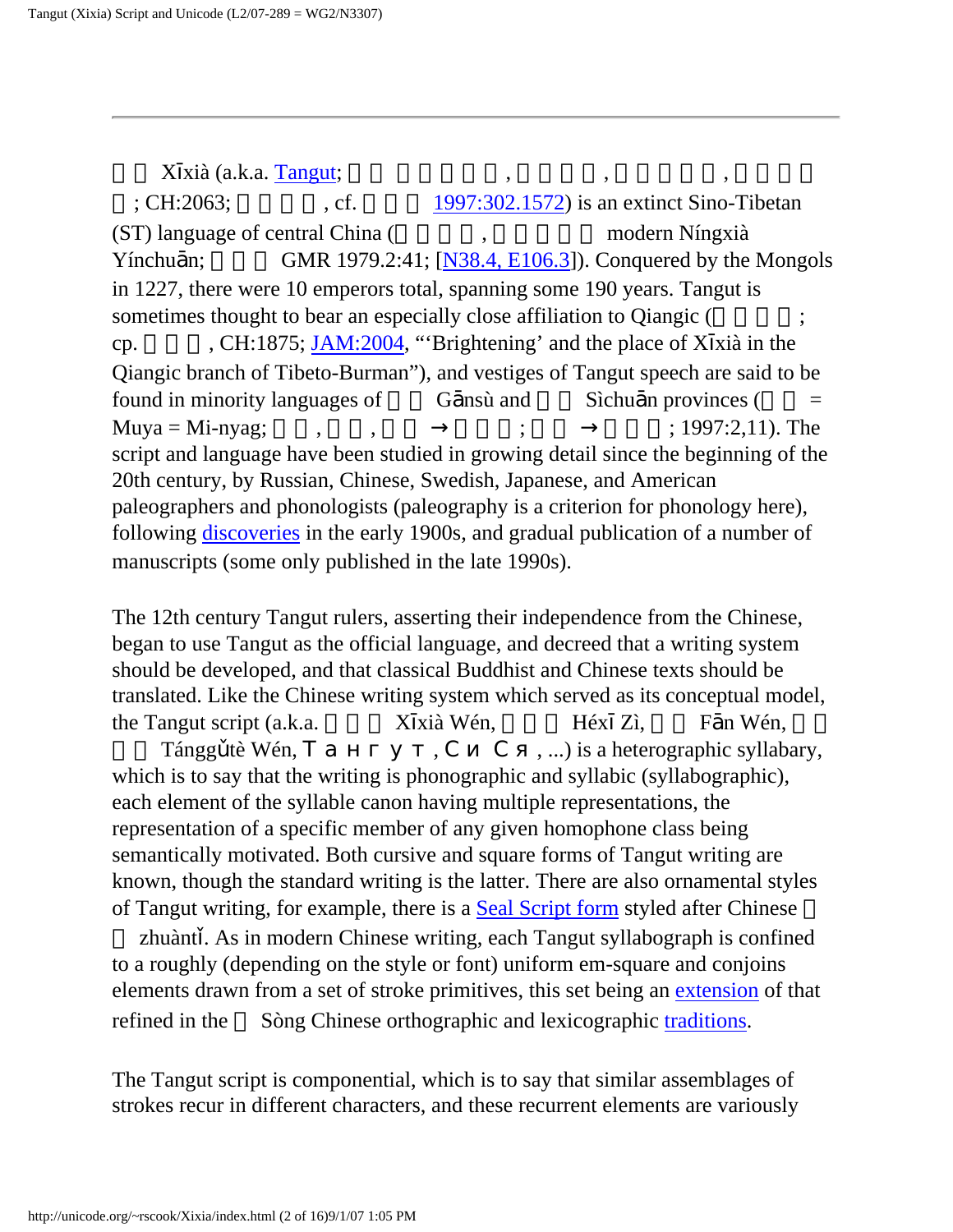$X$  xià (a.k.a. [Tangut](http://en.wikipedia.org/wiki/Western_Xia#Name);  $\qquad \qquad , \qquad \qquad , \qquad \qquad ,$  $; CH:2063;$   $; cf.$   $1997:302.1572$  is an extinct Sino-Tibetan  $(ST)$  language of central China  $($ , modern Níngxià Yínchu n; GMR 1979.2:41;  $[N38.4, E106.3]$  $[N38.4, E106.3]$  $[N38.4, E106.3]$ ). Conquered by the Mongols in 1227, there were 10 emperors total, spanning some 190 years. Tangut is sometimes thought to bear an especially close affiliation to Qiangic ( cp. CH:1875; [JAM:2004,](http://stedt.berkeley.edu/pdf/JAM/Xixia_Qiangic-Gong_Festo.pdf) "'Brightening' and the place of X xià in the Qiangic branch of Tibeto-Burman"), and vestiges of Tangut speech are said to be found in minority languages of  $\qquad$  G nsù and  $\qquad$  Sìchu n provinces ( $\qquad$  = Muya = Mi-nyag;  $\longrightarrow$  ;  $\longrightarrow$  ; 1997:2,11). The script and language have been studied in growing detail since the beginning of the 20th century, by Russian, Chinese, Swedish, Japanese, and American paleographers and phonologists (paleography is a criterion for phonology here), following [discoveries](#page-6-0) in the early 1900s, and gradual publication of a number of manuscripts (some only published in the late 1990s).

The 12th century Tangut rulers, asserting their independence from the Chinese, began to use Tangut as the official language, and decreed that a writing system should be developed, and that classical Buddhist and Chinese texts should be translated. Like the Chinese writing system which served as its conceptual model, the Tangut script (a.k.a.  $X$  xià Wén,  $H$ éx Zì,  $F$  n Wén,

Tángg tè Wén,  $\ldots$ , ....) is a heterographic syllabary, which is to say that the writing is phonographic and syllabic (syllabographic), each element of the syllable canon having multiple representations, the representation of a specific member of any given homophone class being semantically motivated. Both cursive and square forms of Tangut writing are known, though the standard writing is the latter. There are also ornamental styles of Tangut writing, for example, there is a [Seal Script form](#page-13-0) styled after Chinese

 zhuànt . As in modern Chinese writing, each Tangut syllabograph is confined to a roughly (depending on the style or font) uniform em-square and conjoins elements drawn from a set of stroke primitives, this set being an [extension](#page-15-0) of that refined in the Sòng Chinese orthographic and lexicographic [traditions.](http://www.dkuug.dk/jtc1/sc2/wg2/docs/n3063.pdf)

The Tangut script is componential, which is to say that similar assemblages of strokes recur in different characters, and these recurrent elements are variously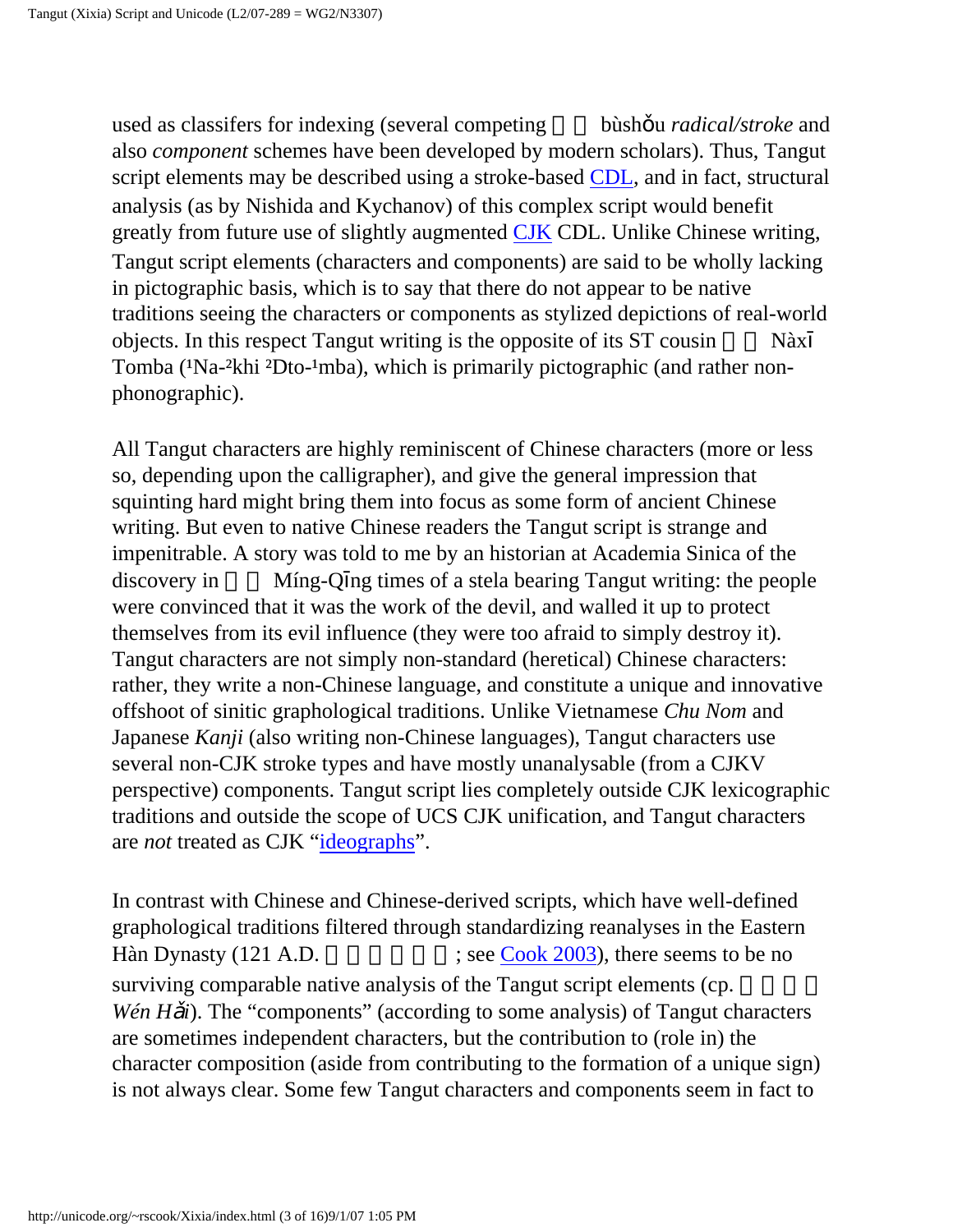used as classifers for indexing (several competing bùsh u *radical/stroke* and also *component* schemes have been developed by modern scholars). Thus, Tangut script elements may be described using a stroke-based [CDL](http://www.wenlin.com/cdl/), and in fact, structural analysis (as by Nishida and Kychanov) of this complex script would benefit greatly from future use of slightly augmented [CJK](http://www.wenlin.com/cdl/#jarg) CDL. Unlike Chinese writing, Tangut script elements (characters and components) are said to be wholly lacking in pictographic basis, which is to say that there do not appear to be native traditions seeing the characters or components as stylized depictions of real-world objects. In this respect Tangut writing is the opposite of its ST cousin Nàx Tomba (<sup>1</sup>Na-<sup>2</sup>khi <sup>2</sup>Dto-<sup>1</sup>mba), which is primarily pictographic (and rather nonphonographic).

All Tangut characters are highly reminiscent of Chinese characters (more or less so, depending upon the calligrapher), and give the general impression that squinting hard might bring them into focus as some form of ancient Chinese writing. But even to native Chinese readers the Tangut script is strange and impenitrable. A story was told to me by an historian at Academia Sinica of the discovery in Míng-Q ng times of a stela bearing Tangut writing: the people were convinced that it was the work of the devil, and walled it up to protect themselves from its evil influence (they were too afraid to simply destroy it). Tangut characters are not simply non-standard (heretical) Chinese characters: rather, they write a non-Chinese language, and constitute a unique and innovative offshoot of sinitic graphological traditions. Unlike Vietnamese *Chu Nom* and Japanese *Kanji* (also writing non-Chinese languages), Tangut characters use several non-CJK stroke types and have mostly unanalysable (from a CJKV perspective) components. Tangut script lies completely outside CJK lexicographic traditions and outside the scope of UCS CJK unification, and Tangut characters are *not* treated as CJK ["ideographs"](http://www.wenlin.com/cdl/#jarg).

In contrast with Chinese and Chinese-derived scripts, which have well-defined graphological traditions filtered through standardizing reanalyses in the Eastern Hàn Dynasty  $(121 \text{ A.D.})$  ; see [Cook 2003](http://linguistics.berkeley.edu/~rscook/html/writing.html#EHC)), there seems to be no surviving comparable native analysis of the Tangut script elements (cp. *Wén H i*). The "components" (according to some analysis) of Tangut characters are sometimes independent characters, but the contribution to (role in) the character composition (aside from contributing to the formation of a unique sign) is not always clear. Some few Tangut characters and components seem in fact to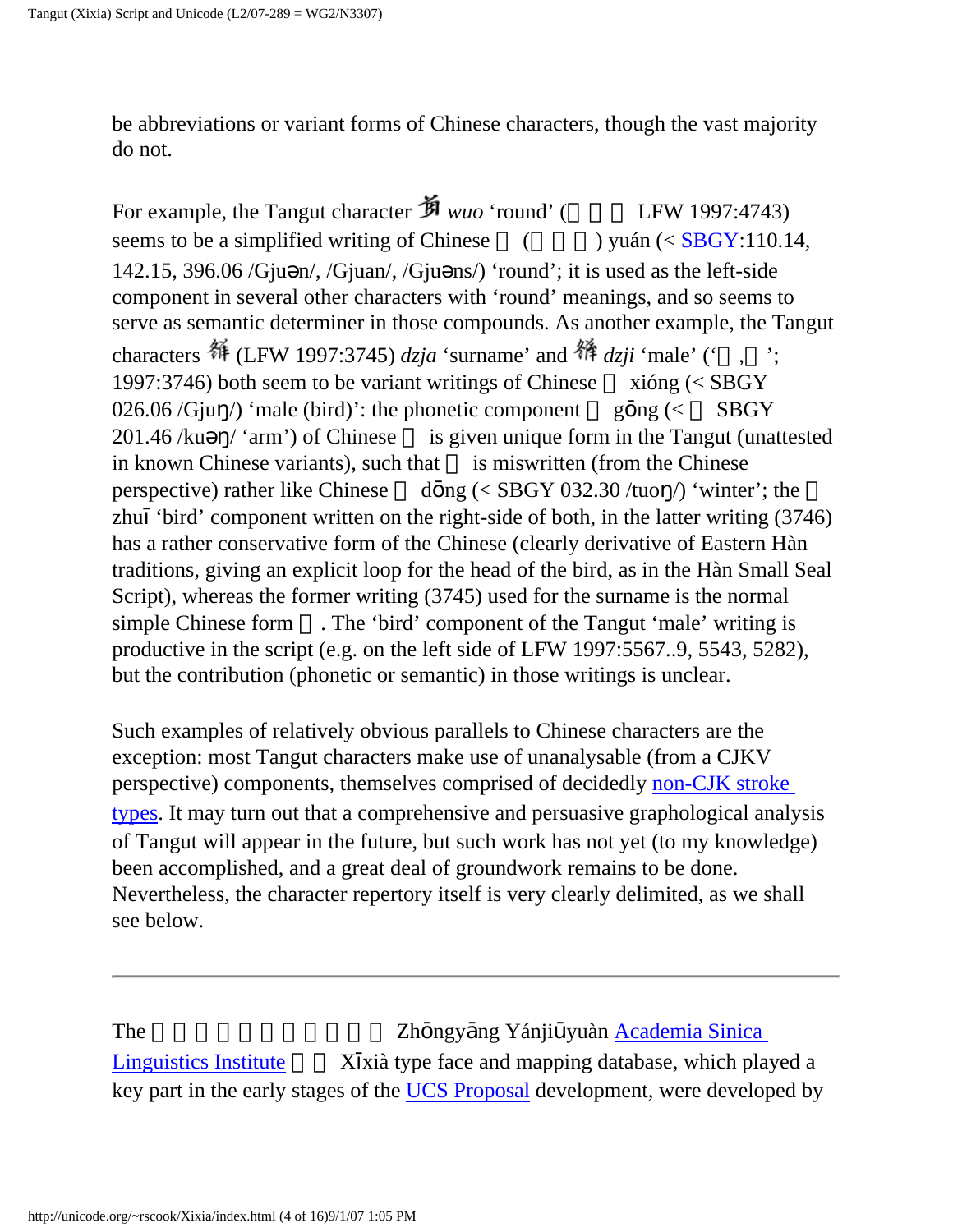be abbreviations or variant forms of Chinese characters, though the vast majority do not.

For example, the Tangut character  $\mathbf{\hat{B}}$  *wuo* 'round' ( LFW 1997:4743) seems to be a simplified writing of Chinese  $($   $)$  yuán (< [SBGY:](http://www.unicode.org/Public/UNIDATA/Unihan.html#kSBGY)110.14, 142.15, 396.06 /Gju n/, /Gjuan/, /Gju ns/) 'round'; it is used as the left-side component in several other characters with 'round' meanings, and so seems to serve as semantic determiner in those compounds. As another example, the Tangut characters  $\frac{44}{1997}$  (LFW 1997:3745) *dzja* 'surname' and  $\frac{44}{19}$  *dzji* 'male' (' 1997:3746) both seem to be variant writings of Chinese  $x$ ióng (< SBGY 026.06 /Gju /) 'male (bird)': the phonetic component g ng ( $\lt$  SBGY  $201.46$  /ku  $\prime$  'arm') of Chinese is given unique form in the Tangut (unattested in known Chinese variants), such that is miswritten (from the Chinese perspective) rather like Chinese d ng  $\langle$  SBGY 032.30/tuo /) 'winter'; the zhu 'bird' component written on the right-side of both, in the latter writing (3746) has a rather conservative form of the Chinese (clearly derivative of Eastern Hàn traditions, giving an explicit loop for the head of the bird, as in the Hàn Small Seal Script), whereas the former writing (3745) used for the surname is the normal simple Chinese form . The 'bird' component of the Tangut 'male' writing is productive in the script (e.g. on the left side of LFW 1997:5567..9, 5543, 5282), but the contribution (phonetic or semantic) in those writings is unclear.

Such examples of relatively obvious parallels to Chinese characters are the exception: most Tangut characters make use of unanalysable (from a CJKV perspective) components, themselves comprised of decidedly [non-CJK stroke](#page-15-0) [types.](#page-15-0) It may turn out that a comprehensive and persuasive graphological analysis of Tangut will appear in the future, but such work has not yet (to my knowledge) been accomplished, and a great deal of groundwork remains to be done. Nevertheless, the character repertory itself is very clearly delimited, as we shall see below.

The 2h ngy ng Yánji yuàn Academia Sinica [Linguistics Institute](http://www.ling.sinica.edu.tw/)  $X$  xià type face and mapping database, which played a key part in the early stages of the [UCS Proposal](http://linguistics.berkeley.edu/~rscook/UTC/Tangut/) development, were developed by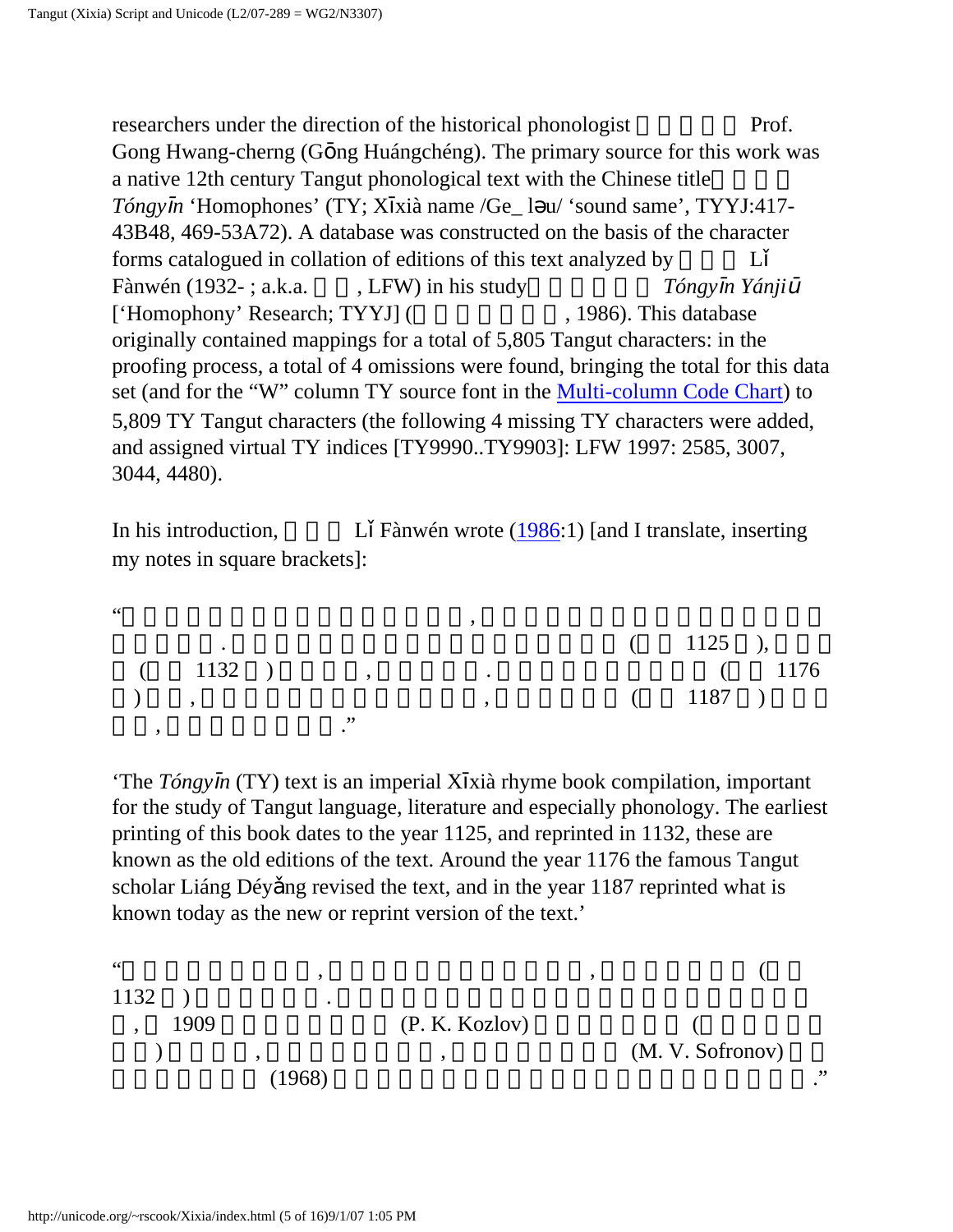<span id="page-5-1"></span>researchers under the direction of the historical phonologist Prof. Gong Hwang-cherng (G ng Huángchéng). The primary source for this work was a native 12th century Tangut phonological text with the Chinese title *Tóngy n* 'Homophones' (TY; X xià name /Ge\_ l u/ 'sound same', TYYJ:417- 43B48, 469-53A72). A database was constructed on the basis of the character forms catalogued in collation of editions of this text analyzed by  $L$ Fànwén (1932-; a.k.a. , LFW) in his study *Tóngy n Yánji* ['Homophony' Research; TYYJ] (1986). This database originally contained mappings for a total of 5,805 Tangut characters: in the proofing process, a total of 4 omissions were found, bringing the total for this data set (and for the "W" column TY source font in the [Multi-column Code Chart](http://linguistics.berkeley.edu/~rscook/UTC/Tangut/)) to 5,809 TY Tangut characters (the following 4 missing TY characters were added, and assigned virtual TY indices [TY9990..TY9903]: LFW 1997: 2585, 3007, 3044, 4480).

<span id="page-5-0"></span>In his introduction,  $L$  Fànwén wrote ([1986:](#page-10-0)1) [and I translate, inserting my notes in square brackets]:

 $\alpha$  $\sim$  2002.  $(1125)$ ,  $(225)$ ,  $(225)$ ,  $(225)$ ,  $(225)$ ,  $(225)$ ,  $(225)$ ,  $(225)$ ,  $(225)$ ,  $(225)$  $(1132)$  ,  $(1176)$ ) ,  $(1187)$  $\,$ ,  $\,$ ,  $\,$ ,  $\,$ ,  $\,$ ,  $\,$ ,  $\,$ ,  $\,$ ,  $\,$ ,  $\,$ ,  $\,$ ,  $\,$ ,  $\,$ ,  $\,$ ,  $\,$ ,  $\,$ ,  $\,$ ,  $\,$ ,  $\,$ ,  $\,$ ,  $\,$ ,  $\,$ ,  $\,$ ,  $\,$ ,  $\,$ ,  $\,$ ,  $\,$ ,  $\,$ ,  $\,$ ,  $\,$ ,  $\,$ ,  $\,$ ,  $\,$ ,  $\,$ ,  $\,$ ,  $\,$ ,  $\,$ ,

'The *Tóngy n* (TY) text is an imperial X xià rhyme book compilation, important for the study of Tangut language, literature and especially phonology. The earliest printing of this book dates to the year 1125, and reprinted in 1132, these are known as the old editions of the text. Around the year 1176 the famous Tangut scholar Liáng Déy ng revised the text, and in the year 1187 reprinted what is known today as the new or reprint version of the text.'

"目前海內外流行版本, 即羅福成先生的手抄刊印本, 為西夏正德六年 (公元  $1132$  )  $\qquad \qquad .$  $1909$  (P. K. Kozlov)  $(M, V, \text{Sofronov})$  $(1968)$   $\therefore$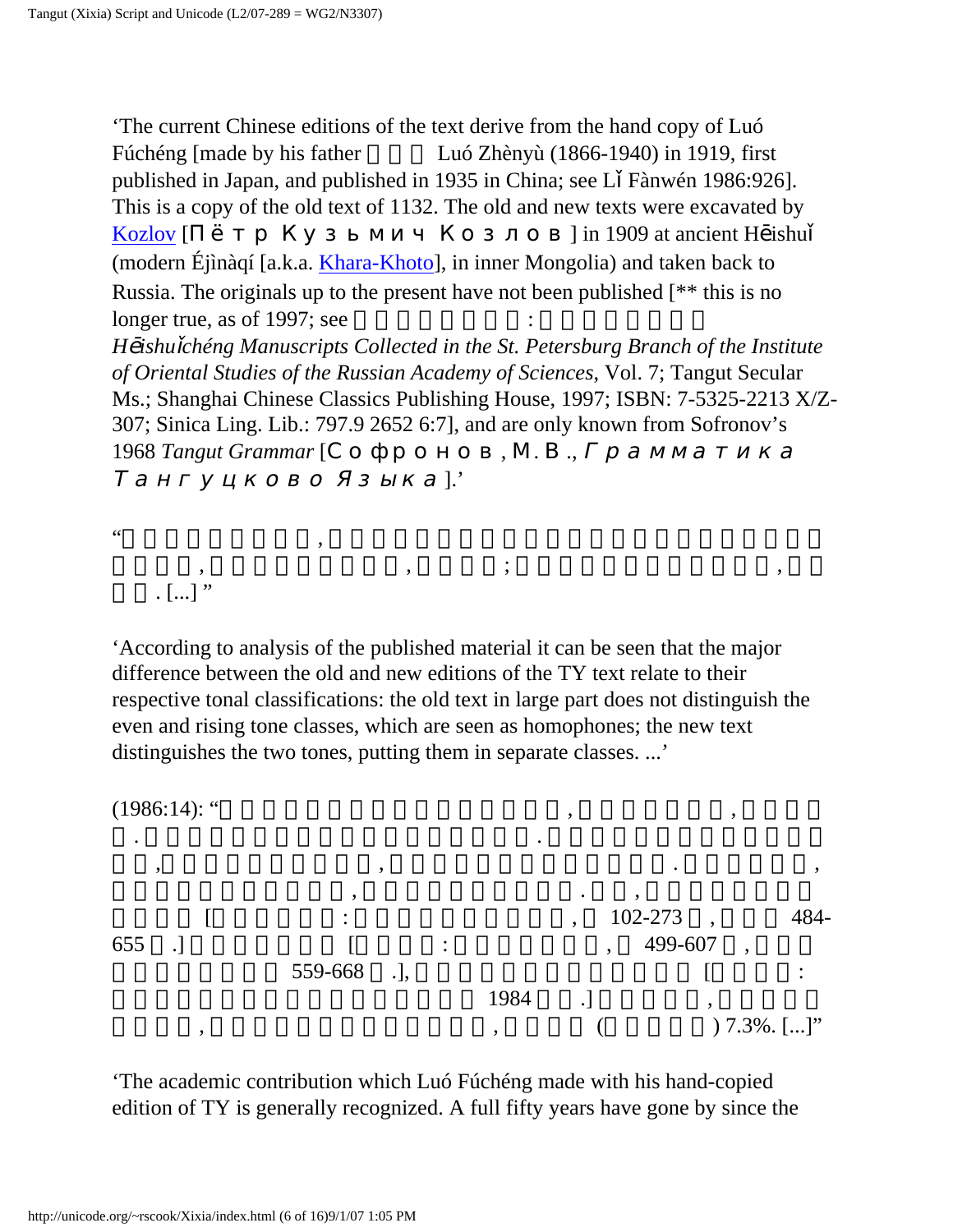<span id="page-6-0"></span>'The current Chinese editions of the text derive from the hand copy of Luó Fúchéng [made by his father Luó Zhènyù (1866-1940) in 1919, first published in Japan, and published in 1935 in China; see L Fànwén 1986:926]. This is a copy of the old text of 1132. The old and new texts were excavated by [Kozlov](http://en.wikipedia.org/wiki/Pyotr_Kuzmich_Kozlov) [Personstanded] in 1909 at ancient H ishu (modern Éjìnàqí [a.k.a. [Khara-Khoto\]](http://en.wikipedia.org/wiki/Khara-Khoto), in inner Mongolia) and taken back to Russia. The originals up to the present have not been published [\*\* this is no longer true, as of 1997; see *H ishu chéng Manuscripts Collected in the St. Petersburg Branch of the Institute of Oriental Studies of the Russian Academy of Sciences*, Vol. 7; Tangut Secular Ms.; Shanghai Chinese Classics Publishing House, 1997; ISBN: 7-5325-2213 X/Z-307; Sinica Ling. Lib.: 797.9 2652 6:7], and are only known from Sofronov's 1968 *Tangut Grammar* [  $\lbrack$ .'

 $\mathcal{C}$ 

 $\,$ ,  $\,$ ,  $\,$ ,  $\,$ ,  $\,$ ,  $\,$ ,  $\,$ ,  $\,$ ,  $\,$ ,  $\,$ ,  $\,$ ,  $\,$ ,  $\,$ ,  $\,$ ,  $\,$ ,  $\,$ ,  $\,$ ,  $\,$ ,  $\,$ ,  $\,$ ,  $\,$ ,  $\,$ ,  $\,$ ,  $\,$ ,  $\,$ ,  $\,$ ,  $\,$ ,  $\,$ ,  $\,$ ,  $\,$ ,  $\,$ ,  $\,$ ,  $\,$ ,  $\,$ ,  $\,$ ,  $\,$ ,  $\,$ ,  $\lbrack . . . ] \rbrack$ "

'According to analysis of the published material it can be seen that the major difference between the old and new editions of the TY text relate to their respective tonal classifications: the old text in large part does not distinguish the even and rising tone classes, which are seen as homophones; the new text distinguishes the two tones, putting them in separate classes. ...'

 $(1986:14)$ : "



. 這部書自一九三五年出版至今整五十年了. 由於羅先生當時未見《文海》

'The academic contribution which Luó Fúchéng made with his hand-copied edition of TY is generally recognized. A full fifty years have gone by since the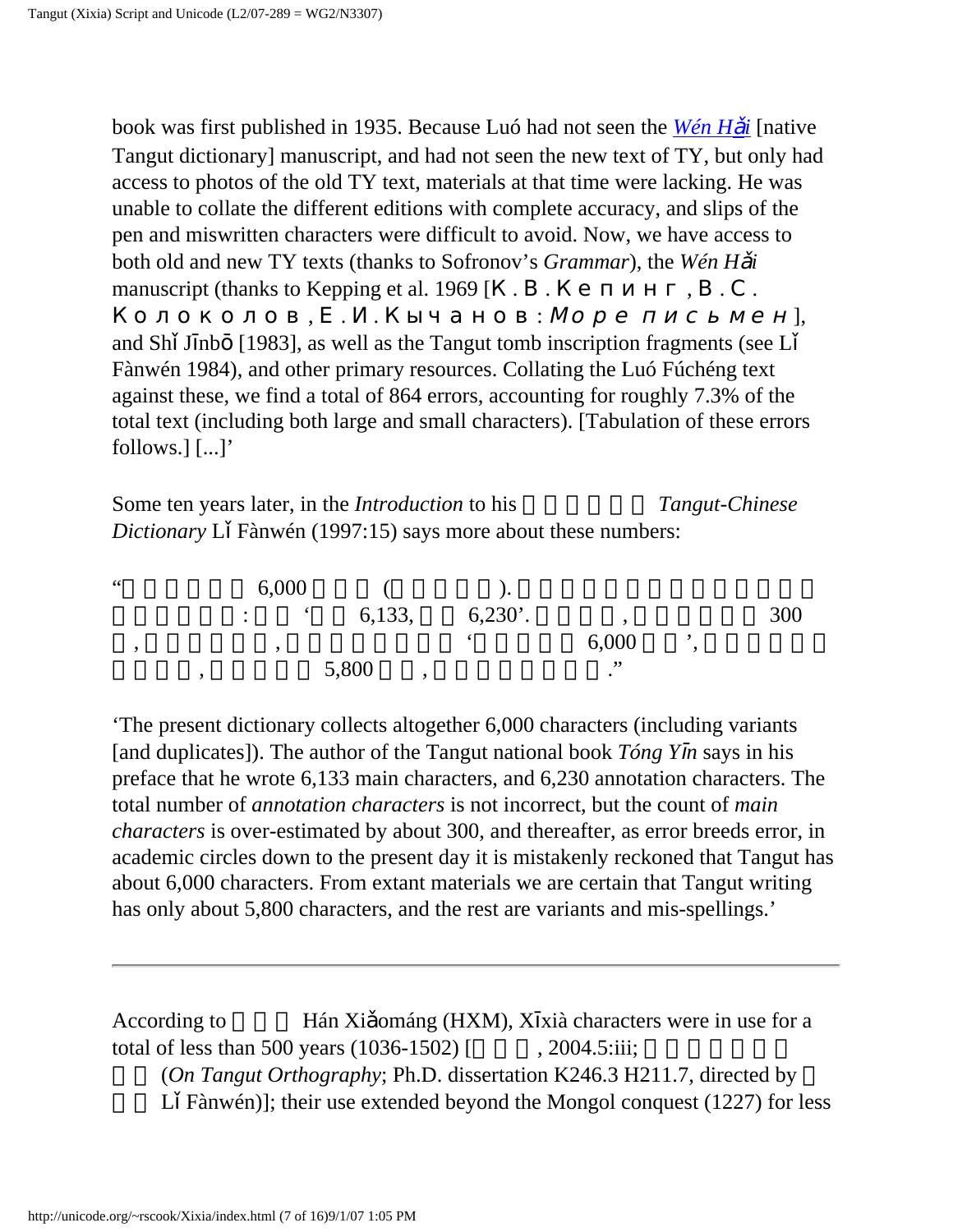book was first published in 1935. Because Luó had not seen the *[Wén H](http://babelstone.blogspot.com/2006/12/christmas-presents.html) i* [native Tangut dictionary] manuscript, and had not seen the new text of TY, but only had access to photos of the old TY text, materials at that time were lacking. He was unable to collate the different editions with complete accuracy, and slips of the pen and miswritten characters were difficult to avoid. Now, we have access to both old and new TY texts (thanks to Sofronov's *Grammar*), the *Wén H i* manuscript (thanks to Kepping et al.  $1969$  [  $\cdot$  .

Колоколов, . . Кычанов: Море письмен], and Sh J nb [1983], as well as the Tangut tomb inscription fragments (see L Fànwén 1984), and other primary resources. Collating the Luó Fúchéng text against these, we find a total of 864 errors, accounting for roughly 7.3% of the total text (including both large and small characters). [Tabulation of these errors follows.] [...]'

Some ten years later, in the *Introduction* to his *Tangut-Chinese Dictionary* L Fànwén (1997:15) says more about these numbers:

 $\frac{4}{3}$  6,000 (executive of  $\frac{6}{3}$ ).  $\therefore$   $\qquad 6,133,$   $\qquad 6,230'$ .  $\qquad \qquad 300$ , which is the set of  $\sim 6,000$  set of  $\sim 6,000$  set of  $\sim 9$  $5,800$ ,  $\therefore$ 

'The present dictionary collects altogether 6,000 characters (including variants [and duplicates]). The author of the Tangut national book *Tóng Y n* says in his preface that he wrote 6,133 main characters, and 6,230 annotation characters. The total number of *annotation characters* is not incorrect, but the count of *main characters* is over-estimated by about 300, and thereafter, as error breeds error, in academic circles down to the present day it is mistakenly reckoned that Tangut has about 6,000 characters. From extant materials we are certain that Tangut writing has only about 5,800 characters, and the rest are variants and mis-spellings.'

According to **Hán Xi** ománg (HXM), X xià characters were in use for a total of less than 500 years  $(1036-1502)$  [  $\qquad \qquad$   $, 2004.5$ :iii; 究》 (*On Tangut Orthography*; Ph.D. dissertation K246.3 H211.7, directed by L Fànwén)]; their use extended beyond the Mongol conquest  $(1227)$  for less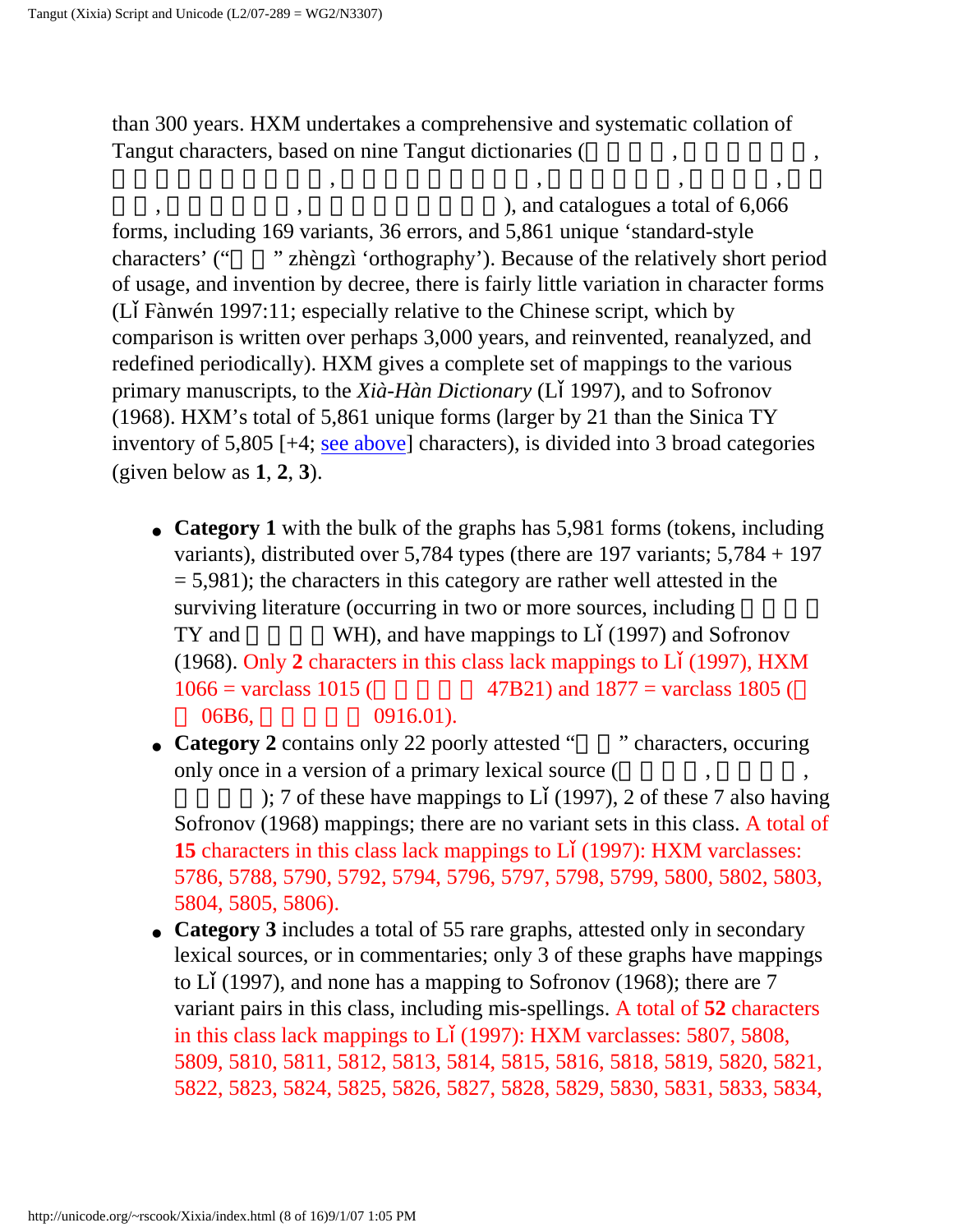than 300 years. HXM undertakes a comprehensive and systematic collation of Tangut characters, based on nine Tangut dictionaries (

, we have the set of  $\alpha$  ,  $\alpha$  ,  $\beta$  ,  $\beta$  ,  $\beta$  ,  $\beta$ 

), and catalogues a total of  $6,066$ forms, including 169 variants, 36 errors, and 5,861 unique 'standard-style characters' ("" zhèngzì 'orthography'). Because of the relatively short period of usage, and invention by decree, there is fairly little variation in character forms (L Fànwén 1997:11; especially relative to the Chinese script, which by comparison is written over perhaps 3,000 years, and reinvented, reanalyzed, and redefined periodically). HXM gives a complete set of mappings to the various primary manuscripts, to the *Xià-Hàn Dictionary* (L 1997), and to Sofronov (1968). HXM's total of 5,861 unique forms (larger by 21 than the Sinica TY inventory of 5,805 [+4; [see above](#page-5-0)] characters), is divided into 3 broad categories (given below as **1**, **2**, **3**).

- **Category 1** with the bulk of the graphs has 5,981 forms (tokens, including variants), distributed over 5,784 types (there are 197 variants; 5,784 + 197  $= 5,981$ ; the characters in this category are rather well attested in the surviving literature (occurring in two or more sources, including TY and  $WH$ , and have mappings to L (1997) and Sofronov (1968). Only **2** characters in this class lack mappings to L (1997), HXM  $1066 = \text{varclass } 1015$  (47B21) and  $1877 = \text{varclass } 1805$  (  $06B6,$   $0916.01$ ).
- **Category 2** contains only 22 poorly attested "" characters, occuring only once in a version of a primary lexical source (

); 7 of these have mappings to L  $(1997)$ , 2 of these 7 also having Sofronov (1968) mappings; there are no variant sets in this class. A total of **15** characters in this class lack mappings to L (1997): HXM varclasses: 5786, 5788, 5790, 5792, 5794, 5796, 5797, 5798, 5799, 5800, 5802, 5803, 5804, 5805, 5806).

• **Category 3** includes a total of 55 rare graphs, attested only in secondary lexical sources, or in commentaries; only 3 of these graphs have mappings to L (1997), and none has a mapping to Sofronov (1968); there are 7 variant pairs in this class, including mis-spellings. A total of **52** characters in this class lack mappings to L (1997): HXM varclasses: 5807, 5808, 5809, 5810, 5811, 5812, 5813, 5814, 5815, 5816, 5818, 5819, 5820, 5821, 5822, 5823, 5824, 5825, 5826, 5827, 5828, 5829, 5830, 5831, 5833, 5834,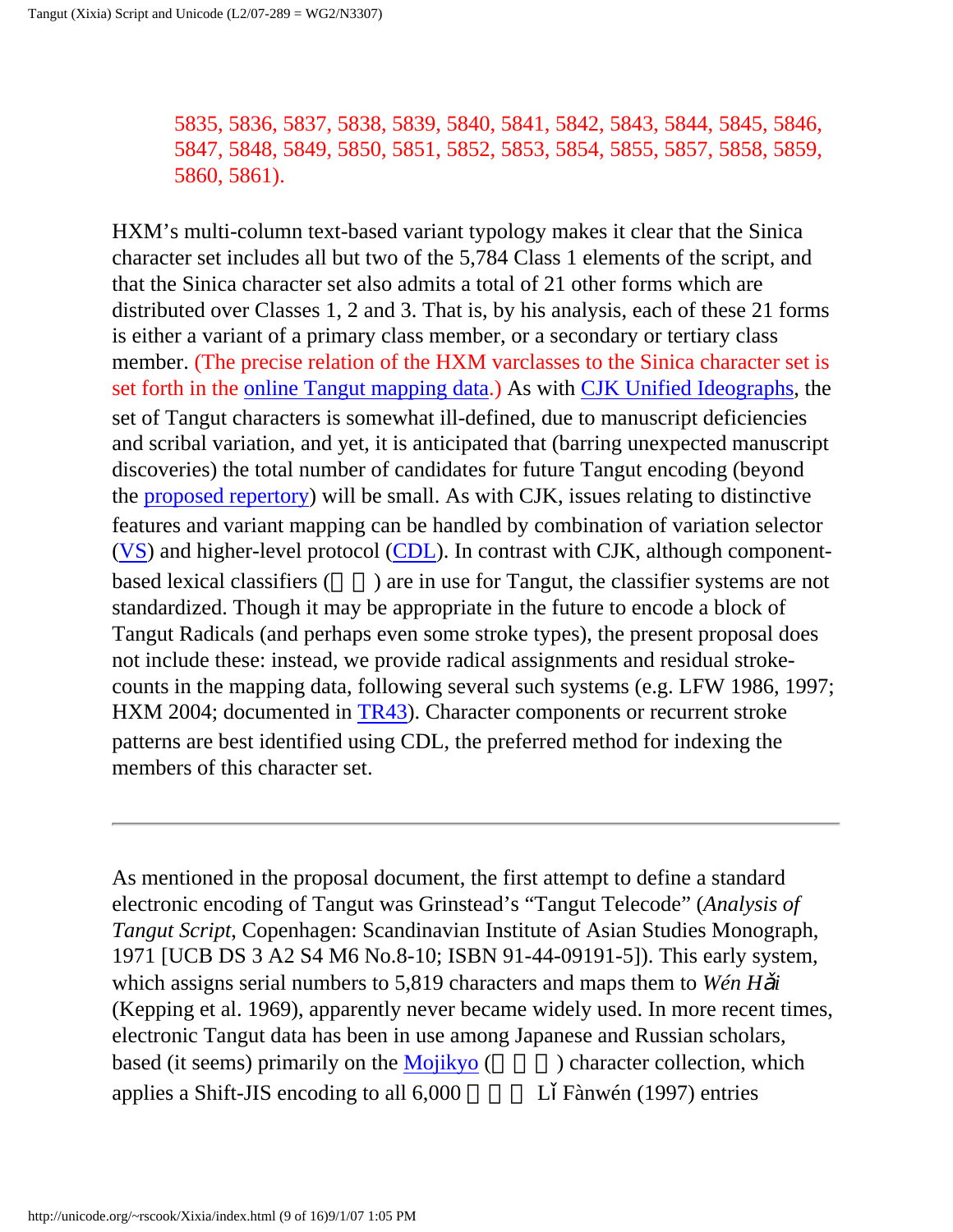5835, 5836, 5837, 5838, 5839, 5840, 5841, 5842, 5843, 5844, 5845, 5846, 5847, 5848, 5849, 5850, 5851, 5852, 5853, 5854, 5855, 5857, 5858, 5859, 5860, 5861).

HXM's multi-column text-based variant typology makes it clear that the Sinica character set includes all but two of the 5,784 Class 1 elements of the script, and that the Sinica character set also admits a total of 21 other forms which are distributed over Classes 1, 2 and 3. That is, by his analysis, each of these 21 forms is either a variant of a primary class member, or a secondary or tertiary class member. (The precise relation of the HXM varclasses to the Sinica character set is set forth in the [online Tangut mapping data](http://linguistics.berkeley.edu/~rscook/UTC/Tangut/).) As with [CJK Unified Ideographs](http://www.unicode.org/Public/UNIDATA/Unihan.html), the set of Tangut characters is somewhat ill-defined, due to manuscript deficiencies and scribal variation, and yet, it is anticipated that (barring unexpected manuscript discoveries) the total number of candidates for future Tangut encoding (beyond the [proposed repertory\)](http://linguistics.berkeley.edu/~rscook/UTC/Tangut/) will be small. As with CJK, issues relating to distinctive features and variant mapping can be handled by combination of variation selector ([VS\)](http://www.unicode.org/reports/tr37/) and higher-level protocol [\(CDL](http://www.wenlin.com/cdl/)). In contrast with CJK, although componentbased lexical classifiers (a) are in use for Tangut, the classifier systems are not standardized. Though it may be appropriate in the future to encode a block of Tangut Radicals (and perhaps even some stroke types), the present proposal does not include these: instead, we provide radical assignments and residual strokecounts in the mapping data, following several such systems (e.g. LFW 1986, 1997; HXM 2004; documented in [TR43\)](http://linguistics.berkeley.edu/~rscook/UTC/Tangut/). Character components or recurrent stroke patterns are best identified using CDL, the preferred method for indexing the members of this character set.

As mentioned in the proposal document, the first attempt to define a standard electronic encoding of Tangut was Grinstead's "Tangut Telecode" (*Analysis of Tangut Script*, Copenhagen: Scandinavian Institute of Asian Studies Monograph, 1971 [UCB DS 3 A2 S4 M6 No.8-10; ISBN 91-44-09191-5]). This early system, which assigns serial numbers to 5,819 characters and maps them to *Wén H i* (Kepping et al. 1969), apparently never became widely used. In more recent times, electronic Tangut data has been in use among Japanese and Russian scholars, based (it seems) primarily on the  $Mojikyo$  ( $\qquad$ ) character collection, which applies a Shift-JIS encoding to all  $6,000$  L Fànwén (1997) entries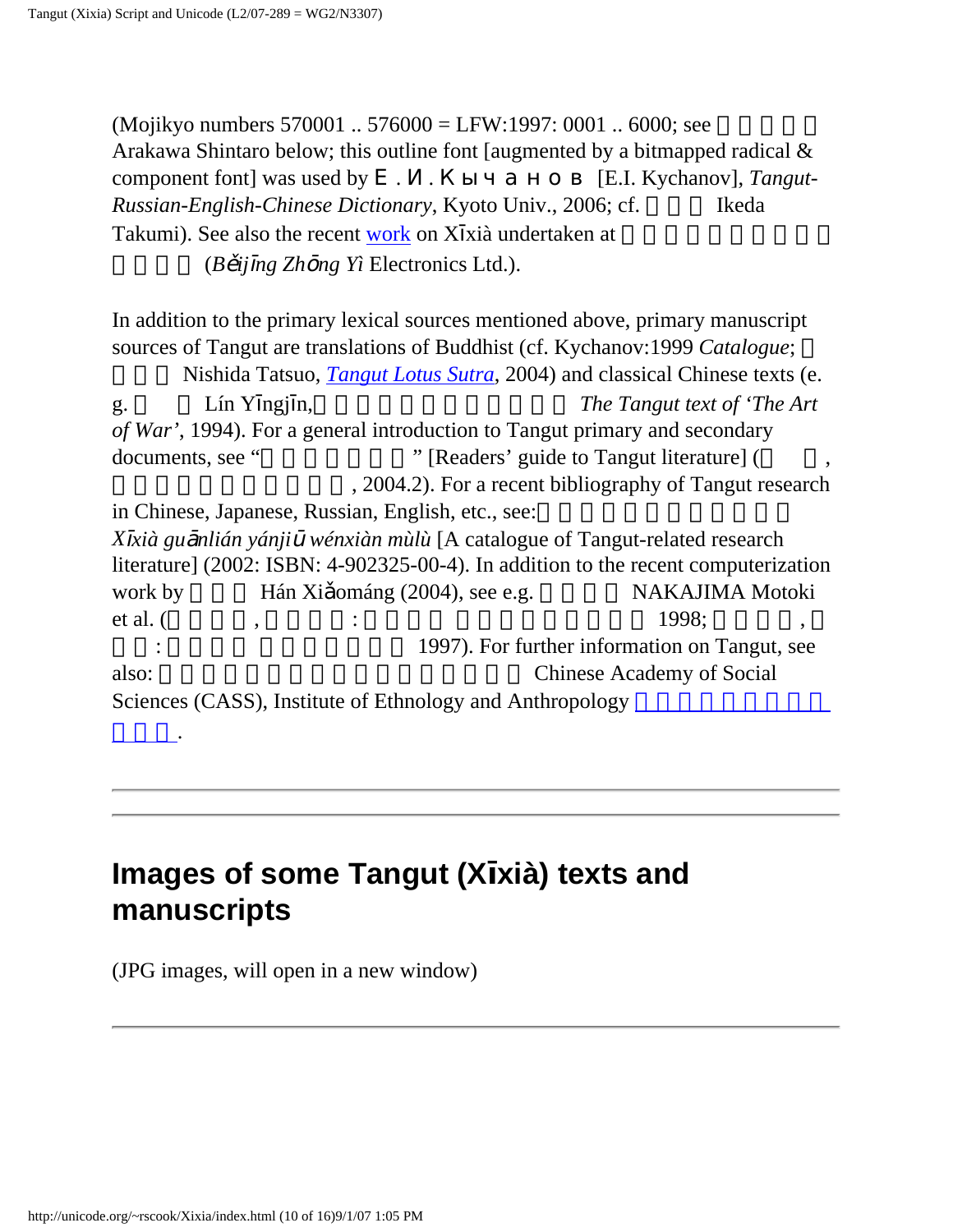(Mojikyo numbers 570001  $\ldots$  576000 = LFW:1997: 0001  $\ldots$  6000; see Arakawa Shintaro below; this outline font [augmented by a bitmapped radical & component font] was used by . . Кычанов [E.I. Kychanov], *Tangut-Russian-English-Chinese Dictionary*, Kyoto Univ., 2006; cf. Ikeda Takumi). See also the recent [work](http://www.china-e.com.cn/main/product/xixia.htm) on X xià undertaken at  $(B \text{ if } ng \text{ } Zh \text{ } ng \text{ } Yi \text{ } Electronic \text{ } E.$ 

In addition to the primary lexical sources mentioned above, primary manuscript sources of Tangut are translations of Buddhist (cf. Kychanov:1999 *Catalogue*;

Nishida Tatsuo, *[Tangut Lotus Sutra](http://www.sgi.org/english/News/nb/0504/nb050406.htm)*, 2004) and classical Chinese texts (e. g. Lín Y ngj n, The Tangut text of 'The Art *of War'*, 1994). For a general introduction to Tangut primary and secondary documents, see "
"
Readers' guide to Tangut literature] ( , 2004.2). For a recent bibliography of Tangut research in Chinese, Japanese, Russian, English, etc., see: *X xià gu nlián yánji wénxiàn mùlù* [A catalogue of Tangut-related research literature] (2002: ISBN: 4-902325-00-4). In addition to the recent computerization work by Hán Xi ománg (2004), see e.g. NAKAJIMA Motoki et al. (et al. (et al.  $($ ,  $)$   $\vdots$   $\vdots$   $\vdots$   $\vdots$   $\vdots$   $\vdots$   $\vdots$   $\vdots$   $\vdots$   $\vdots$   $\vdots$   $\vdots$   $\vdots$   $\vdots$   $\vdots$   $\vdots$   $\vdots$   $\vdots$   $\vdots$   $\vdots$   $\vdots$   $\vdots$   $\vdots$   $\vdots$   $\vdots$   $\vdots$   $\vdots$   $\vdots$   $\vdots$   $\vdots$   $\vdots$   $\vd$ 1997). For further information on Tangut, see also: **https://example.org/contract/social Chinese Academy of Social** Sciences (CASS), Institute of Ethnology and Anthropology

## **Images of some Tangut (X xià) texts and manuscripts**

<span id="page-10-0"></span>(JPG images, will open in a new window)

.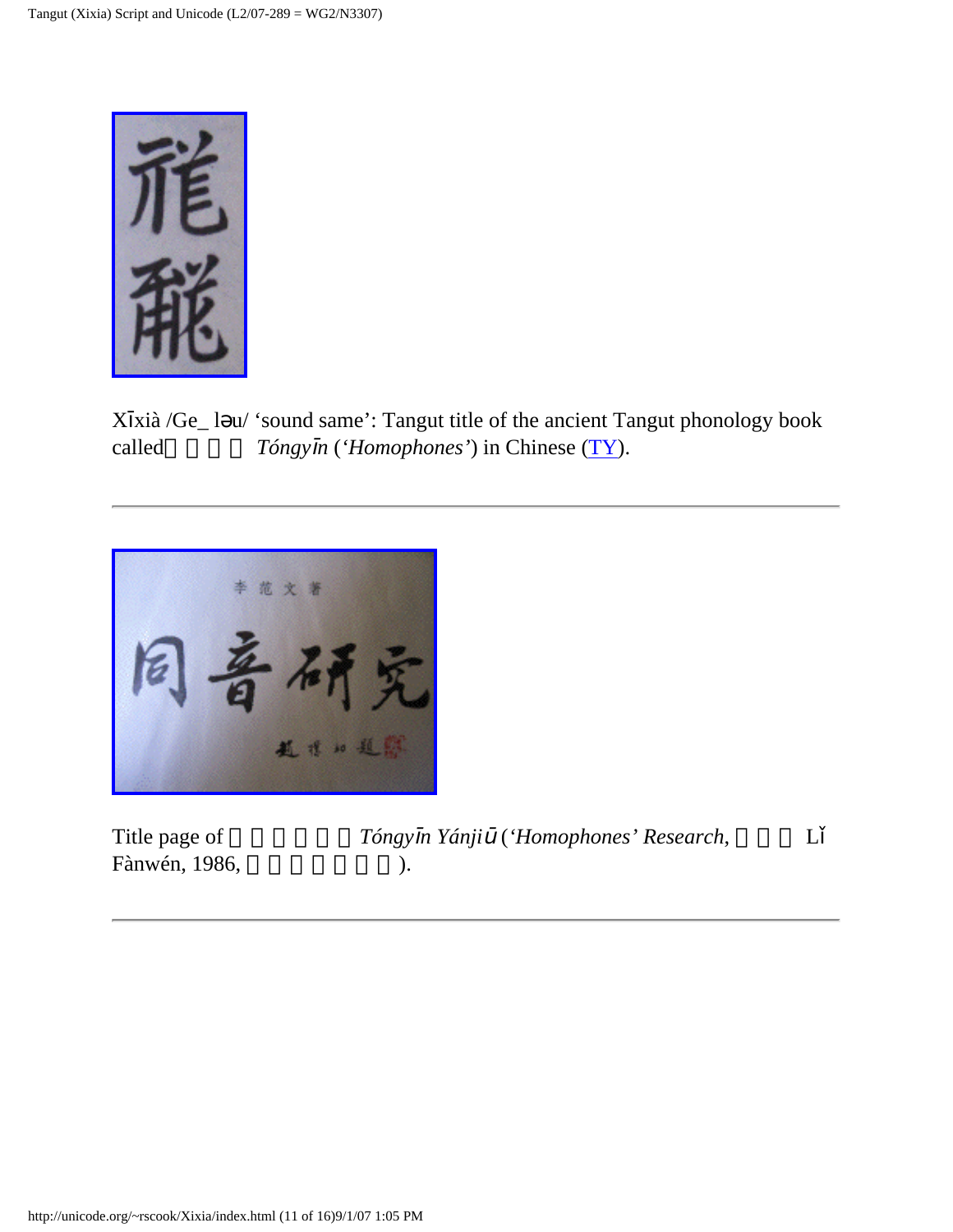

X xià /Ge\_ l u/ 'sound same': Tangut title of the ancient Tangut phonology book called *Tóngy n* (*'Homophones'*) in Chinese [\(TY\)](#page-5-1).



| Title page of | Tóngy |
|---------------|-------|
| Fànwén, 1986, |       |

| Title page of | Tóngy n Yánji ('Homophones' Research, |  |
|---------------|---------------------------------------|--|
| Fànwén, 1986, |                                       |  |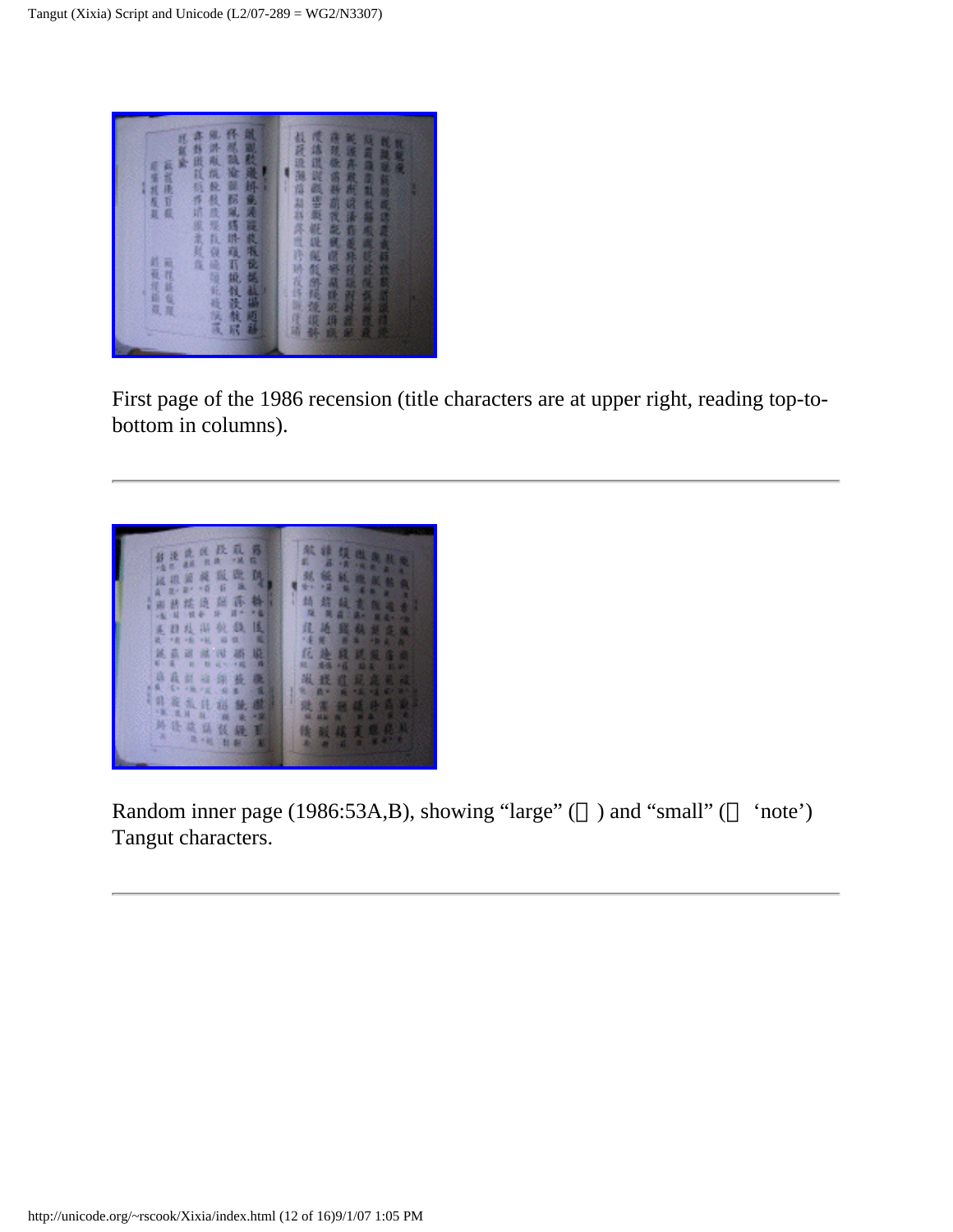

First page of the 1986 recension (title characters are at upper right, reading top-tobottom in columns).



Random inner page (1986:53A,B), showing "large" ( ) and "small" ( 'note') Tangut characters.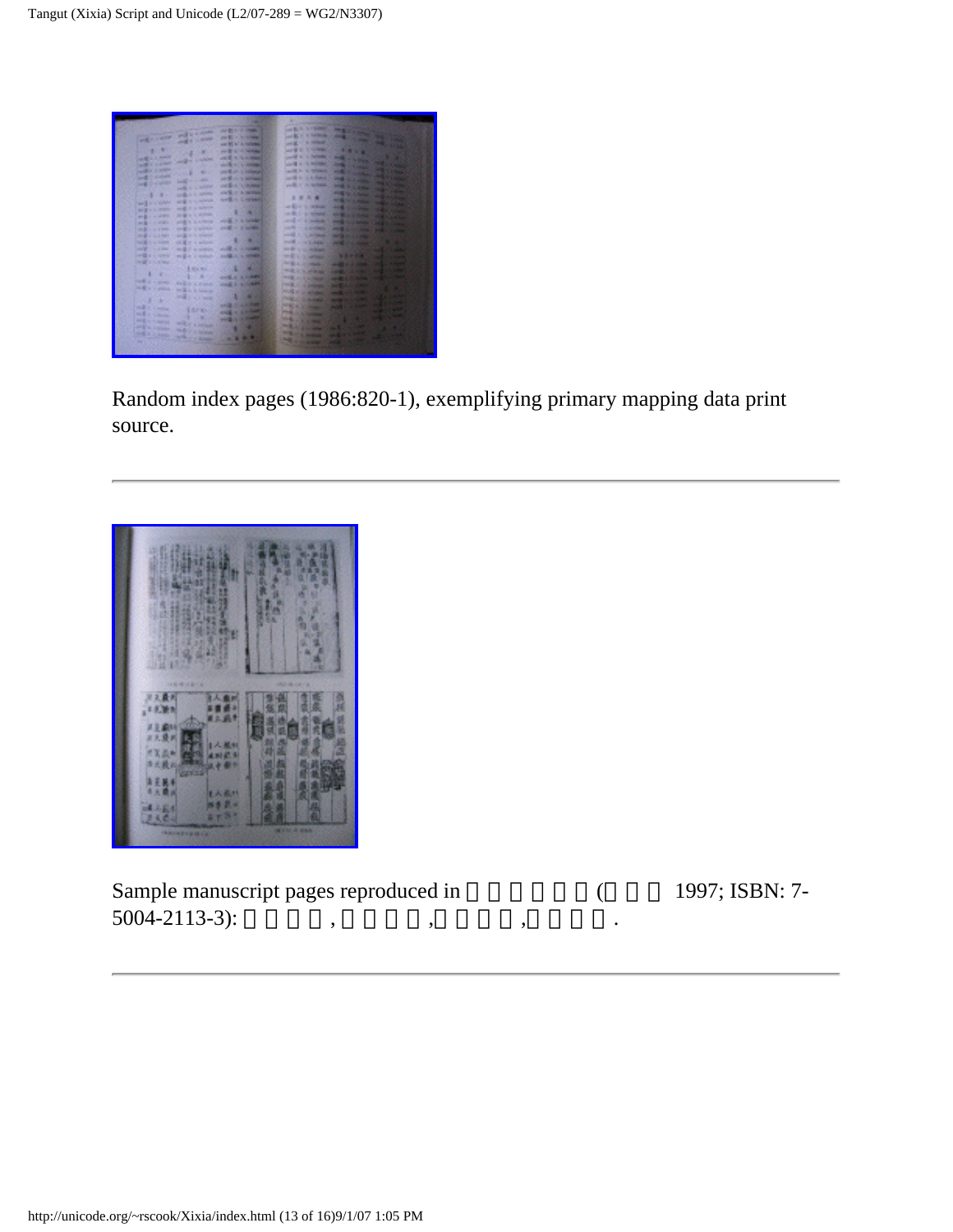

Random index pages (1986:820-1), exemplifying primary mapping data print source.



<span id="page-13-0"></span>Sample manuscript pages reproduced in (Case 1997; ISBN: 7- $5004 - 2113 - 3$ :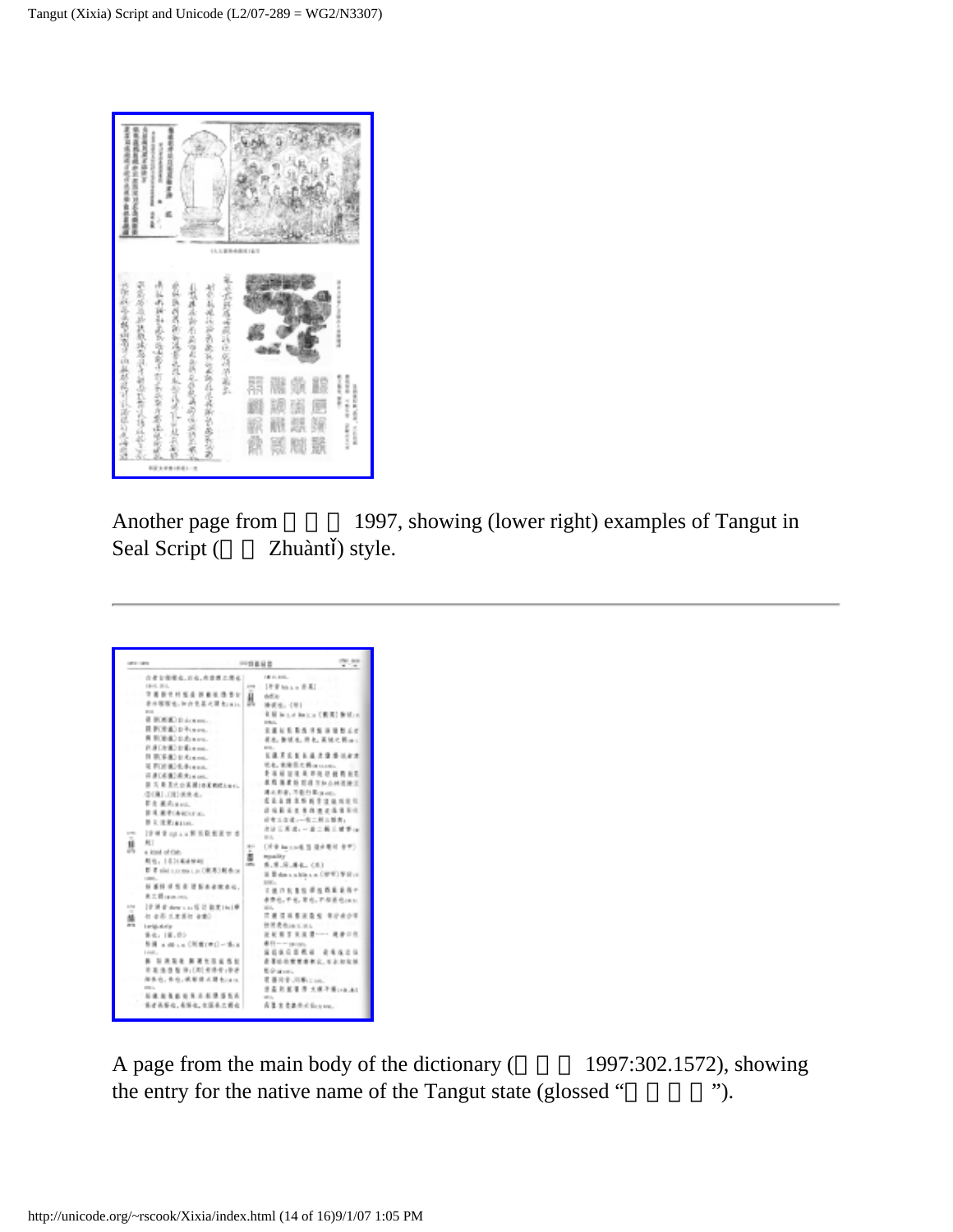

Another page from 1997, showing (lower right) examples of Tangut in Seal Script (Zhuànt ) style.

<span id="page-14-0"></span>

A page from the main body of the dictionary (1997:302.1572), showing the entry for the native name of the Tangut state (glossed "
").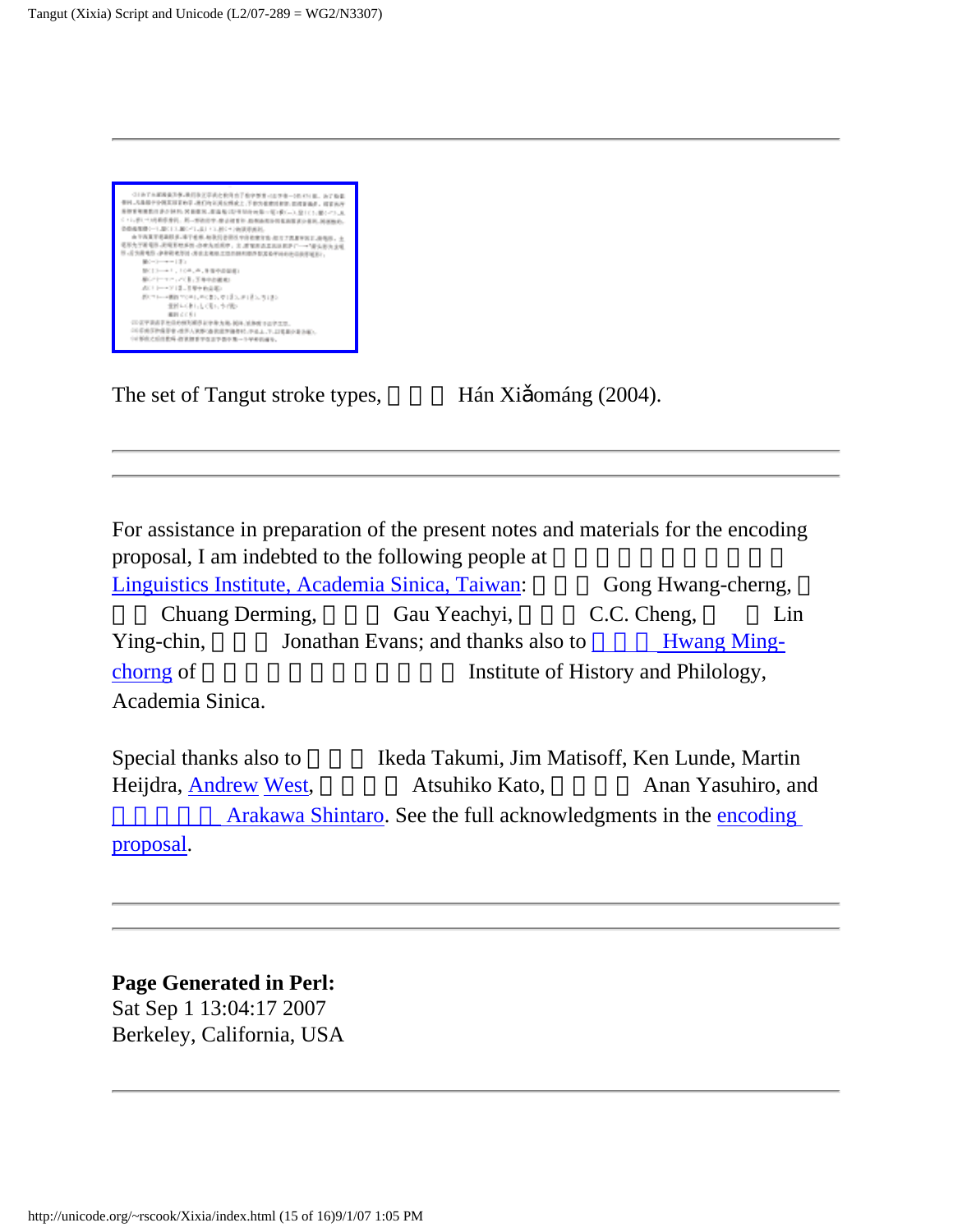<span id="page-15-0"></span>

The set of Tangut stroke types, Hán Xi ománg (2004).

For assistance in preparation of the present notes and materials for the encoding proposal, I am indebted to the following people at [Linguistics Institute, Academia Sinica, Taiwan:](http://www.ling.sinica.edu.tw/) Gong Hwang-cherng, Chuang Derming, Gau Yeachyi, C.C. Cheng, Lin Ying-chin, Jonathan Evans; and thanks also to [Hwang Ming](http://www.ihp.sinica.edu.tw/people_page/p41.htm)[chorng](http://www.ihp.sinica.edu.tw/people_page/p41.htm) of history and Philology, Academia Sinica.

Special thanks also to Ikeda Takumi, Jim Matisoff, Ken Lunde, Martin Heijdra, [Andrew](http://babelstone.blogspot.com/2006/11/mani-stones-in-many-scripts.html) [West](http://babelstone.blogspot.com/2006/12/christmas-presents.html), Atsuhiko Kato, Anan Yasuhiro, and Arakawa Shintaro. See the full acknowledgments in the [encoding](http://linguistics.berkeley.edu/~rscook/UTC/Tangut/)

[proposal](http://linguistics.berkeley.edu/~rscook/UTC/Tangut/).

#### **Page Generated in Perl:**

Sat Sep 1 13:04:17 2007 Berkeley, California, USA